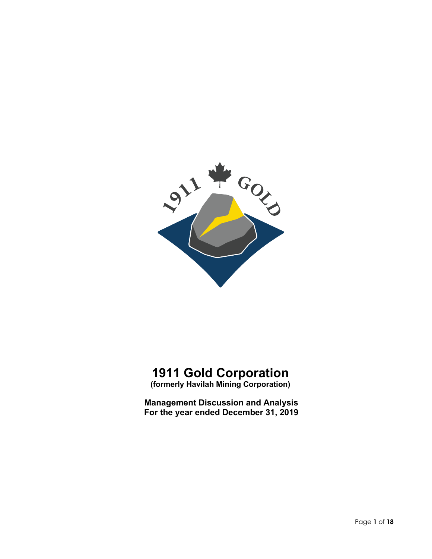

# **1911 Gold Corporation**

**(formerly Havilah Mining Corporation)**

**Management Discussion and Analysis For the year ended December 31, 2019**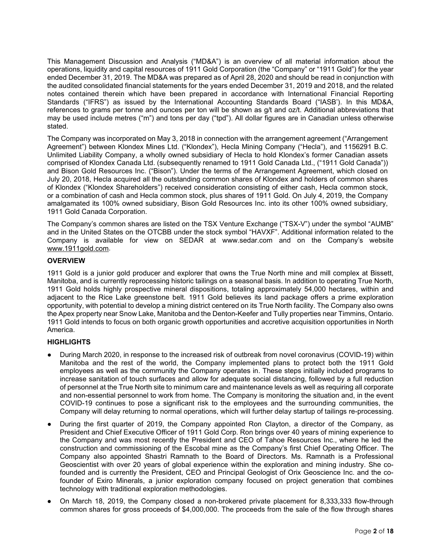This Management Discussion and Analysis ("MD&A") is an overview of all material information about the operations, liquidity and capital resources of 1911 Gold Corporation (the "Company" or "1911 Gold") for the year ended December 31, 2019. The MD&A was prepared as of April 28, 2020 and should be read in conjunction with the audited consolidated financial statements for the years ended December 31, 2019 and 2018, and the related notes contained therein which have been prepared in accordance with International Financial Reporting Standards ("IFRS") as issued by the International Accounting Standards Board ("IASB'). In this MD&A, references to grams per tonne and ounces per ton will be shown as g/t and oz/t. Additional abbreviations that may be used include metres ("m") and tons per day ("tpd"). All dollar figures are in Canadian unless otherwise stated.

The Company was incorporated on May 3, 2018 in connection with the arrangement agreement ("Arrangement Agreement") between Klondex Mines Ltd. ("Klondex"), Hecla Mining Company ("Hecla"), and 1156291 B.C. Unlimited Liability Company, a wholly owned subsidiary of Hecla to hold Klondex's former Canadian assets comprised of Klondex Canada Ltd. (subsequently renamed to 1911 Gold Canada Ltd., ("1911 Gold Canada")) and Bison Gold Resources Inc. ("Bison"). Under the terms of the Arrangement Agreement, which closed on July 20, 2018, Hecla acquired all the outstanding common shares of Klondex and holders of common shares of Klondex ("Klondex Shareholders") received consideration consisting of either cash, Hecla common stock, or a combination of cash and Hecla common stock, plus shares of 1911 Gold. On July 4, 2019, the Company amalgamated its 100% owned subsidiary, Bison Gold Resources Inc. into its other 100% owned subsidiary, 1911 Gold Canada Corporation.

The Company's common shares are listed on the TSX Venture Exchange ("TSX-V") under the symbol "AUMB" and in the United States on the OTCBB under the stock symbol "HAVXF". Additional information related to the Company is available for view on SEDAR at www.sedar.com and on the Company's website [www.1911gold.com.](http://www.1911gold.com/)

# **OVERVIEW**

1911 Gold is a junior gold producer and explorer that owns the True North mine and mill complex at Bissett, Manitoba, and is currently reprocessing historic tailings on a seasonal basis. In addition to operating True North, 1911 Gold holds highly prospective mineral dispositions, totaling approximately 54,000 hectares, within and adjacent to the Rice Lake greenstone belt. 1911 Gold believes its land package offers a prime exploration opportunity, with potential to develop a mining district centered on its True North facility. The Company also owns the Apex property near Snow Lake, Manitoba and the Denton-Keefer and Tully properties near Timmins, Ontario. 1911 Gold intends to focus on both organic growth opportunities and accretive acquisition opportunities in North America.

# **HIGHLIGHTS**

- During March 2020, in response to the increased risk of outbreak from novel coronavirus (COVID-19) within Manitoba and the rest of the world, the Company implemented plans to protect both the 1911 Gold employees as well as the community the Company operates in. These steps initially included programs to increase sanitation of touch surfaces and allow for adequate social distancing, followed by a full reduction of personnel at the True North site to minimum care and maintenance levels as well as requiring all corporate and non-essential personnel to work from home. The Company is monitoring the situation and, in the event COVID-19 continues to pose a significant risk to the employees and the surrounding communities, the Company will delay returning to normal operations, which will further delay startup of tailings re-processing.
- During the first quarter of 2019, the Company appointed Ron Clayton, a director of the Company, as President and Chief Executive Officer of 1911 Gold Corp. Ron brings over 40 years of mining experience to the Company and was most recently the President and CEO of Tahoe Resources Inc., where he led the construction and commissioning of the Escobal mine as the Company's first Chief Operating Officer. The Company also appointed Shastri Ramnath to the Board of Directors. Ms. Ramnath is a Professional Geoscientist with over 20 years of global experience within the exploration and mining industry. She cofounded and is currently the President, CEO and Principal Geologist of Orix Geoscience Inc. and the cofounder of Exiro Minerals, a junior exploration company focused on project generation that combines technology with traditional exploration methodologies.
- On March 18, 2019, the Company closed a non-brokered private placement for 8,333,333 flow-through common shares for gross proceeds of \$4,000,000. The proceeds from the sale of the flow through shares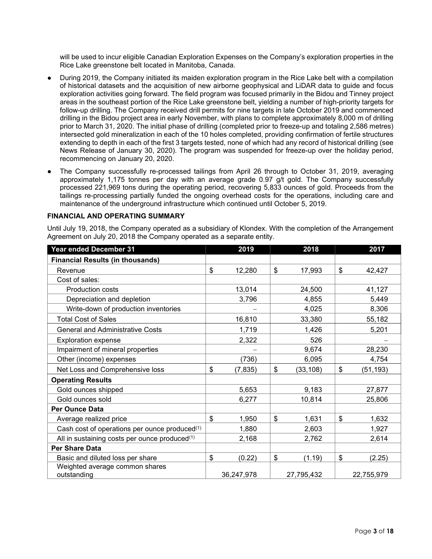will be used to incur eligible Canadian Exploration Expenses on the Company's exploration properties in the Rice Lake greenstone belt located in Manitoba, Canada.

- During 2019, the Company initiated its maiden exploration program in the Rice Lake belt with a compilation of historical datasets and the acquisition of new airborne geophysical and LiDAR data to guide and focus exploration activities going forward. The field program was focused primarily in the Bidou and Tinney project areas in the southeast portion of the Rice Lake greenstone belt, yielding a number of high-priority targets for follow-up drilling. The Company received drill permits for nine targets in late October 2019 and commenced drilling in the Bidou project area in early November, with plans to complete approximately 8,000 m of drilling prior to March 31, 2020. The initial phase of drilling (completed prior to freeze-up and totaling 2,586 metres) intersected gold mineralization in each of the 10 holes completed, providing confirmation of fertile structures extending to depth in each of the first 3 targets tested, none of which had any record of historical drilling (see News Release of January 30, 2020). The program was suspended for freeze-up over the holiday period, recommencing on January 20, 2020.
- The Company successfully re-processed tailings from April 26 through to October 31, 2019, averaging approximately 1,175 tonnes per day with an average grade 0.97 g/t gold. The Company successfully processed 221,969 tons during the operating period, recovering 5,833 ounces of gold. Proceeds from the tailings re-processing partially funded the ongoing overhead costs for the operations, including care and maintenance of the underground infrastructure which continued until October 5, 2019.

## **FINANCIAL AND OPERATING SUMMARY**

Until July 19, 2018, the Company operated as a subsidiary of Klondex. With the completion of the Arrangement Agreement on July 20, 2018 the Company operated as a separate entity.

| Year ended December 31                                    | 2019           | 2018            | 2017            |
|-----------------------------------------------------------|----------------|-----------------|-----------------|
| <b>Financial Results (in thousands)</b>                   |                |                 |                 |
| Revenue                                                   | \$<br>12,280   | \$<br>17,993    | \$<br>42,427    |
| Cost of sales:                                            |                |                 |                 |
| <b>Production costs</b>                                   | 13,014         | 24,500          | 41,127          |
| Depreciation and depletion                                | 3,796          | 4,855           | 5,449           |
| Write-down of production inventories                      |                | 4,025           | 8,306           |
| <b>Total Cost of Sales</b>                                | 16,810         | 33,380          | 55,182          |
| <b>General and Administrative Costs</b>                   | 1,719          | 1,426           | 5,201           |
| Exploration expense                                       | 2,322          | 526             |                 |
| Impairment of mineral properties                          |                | 9,674           | 28,230          |
| Other (income) expenses                                   | (736)          | 6,095           | 4,754           |
| Net Loss and Comprehensive loss                           | \$<br>(7, 835) | \$<br>(33, 108) | \$<br>(51, 193) |
| <b>Operating Results</b>                                  |                |                 |                 |
| Gold ounces shipped                                       | 5,653          | 9,183           | 27,877          |
| Gold ounces sold                                          | 6,277          | 10,814          | 25,806          |
| <b>Per Ounce Data</b>                                     |                |                 |                 |
| Average realized price                                    | \$<br>1,950    | \$<br>1,631     | \$<br>1,632     |
| Cash cost of operations per ounce produced <sup>(1)</sup> | 1,880          | 2,603           | 1,927           |
| All in sustaining costs per ounce produced <sup>(1)</sup> | 2,168          | 2,762           | 2,614           |
| <b>Per Share Data</b>                                     |                |                 |                 |
| Basic and diluted loss per share                          | \$<br>(0.22)   | \$<br>(1.19)    | \$<br>(2.25)    |
| Weighted average common shares<br>outstanding             | 36,247,978     | 27,795,432      | 22,755,979      |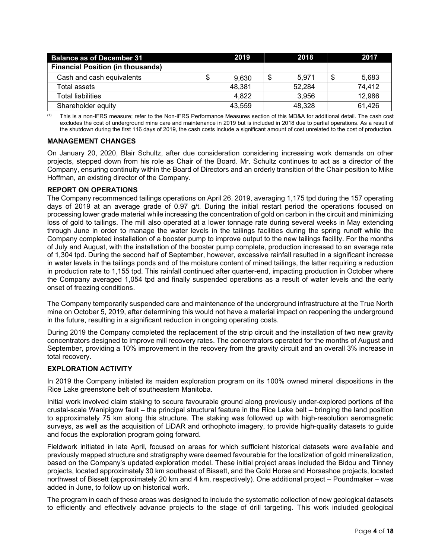| <b>Balance as of December 31</b>         |    | 2019   | 2018        | 2017        |
|------------------------------------------|----|--------|-------------|-------------|
| <b>Financial Position (in thousands)</b> |    |        |             |             |
| Cash and cash equivalents                | ۰D | 9.630  | \$<br>5.971 | \$<br>5,683 |
| Total assets                             |    | 48,381 | 52,284      | 74,412      |
| Total liabilities                        |    | 4.822  | 3,956       | 12,986      |
| Shareholder equity                       |    | 43,559 | 48,328      | 61,426      |

(1) This is a non-IFRS measure; refer to the Non-IFRS Performance Measures section of this MD&A for additional detail. The cash cost excludes the cost of underground mine care and maintenance in 2019 but is included in 2018 due to partial operations. As a result of the shutdown during the first 116 days of 2019, the cash costs include a significant amount of cost unrelated to the cost of production.

# **MANAGEMENT CHANGES**

On January 20, 2020, Blair Schultz, after due consideration considering increasing work demands on other projects, stepped down from his role as Chair of the Board. Mr. Schultz continues to act as a director of the Company, ensuring continuity within the Board of Directors and an orderly transition of the Chair position to Mike Hoffman, an existing director of the Company.

# **REPORT ON OPERATIONS**

The Company recommenced tailings operations on April 26, 2019, averaging 1,175 tpd during the 157 operating days of 2019 at an average grade of 0.97 g/t. During the initial restart period the operations focused on processing lower grade material while increasing the concentration of gold on carbon in the circuit and minimizing loss of gold to tailings. The mill also operated at a lower tonnage rate during several weeks in May extending through June in order to manage the water levels in the tailings facilities during the spring runoff while the Company completed installation of a booster pump to improve output to the new tailings facility. For the months of July and August, with the installation of the booster pump complete, production increased to an average rate of 1,304 tpd. During the second half of September, however, excessive rainfall resulted in a significant increase in water levels in the tailings ponds and of the moisture content of mined tailings, the latter requiring a reduction in production rate to 1,155 tpd. This rainfall continued after quarter-end, impacting production in October where the Company averaged 1,054 tpd and finally suspended operations as a result of water levels and the early onset of freezing conditions.

The Company temporarily suspended care and maintenance of the underground infrastructure at the True North mine on October 5, 2019, after determining this would not have a material impact on reopening the underground in the future, resulting in a significant reduction in ongoing operating costs.

During 2019 the Company completed the replacement of the strip circuit and the installation of two new gravity concentrators designed to improve mill recovery rates. The concentrators operated for the months of August and September, providing a 10% improvement in the recovery from the gravity circuit and an overall 3% increase in total recovery.

# **EXPLORATION ACTIVITY**

In 2019 the Company initiated its maiden exploration program on its 100% owned mineral dispositions in the Rice Lake greenstone belt of southeastern Manitoba.

Initial work involved claim staking to secure favourable ground along previously under-explored portions of the crustal-scale Wanipigow fault – the principal structural feature in the Rice Lake belt – bringing the land position to approximately 75 km along this structure. The staking was followed up with high-resolution aeromagnetic surveys, as well as the acquisition of LiDAR and orthophoto imagery, to provide high-quality datasets to guide and focus the exploration program going forward.

Fieldwork initiated in late April, focused on areas for which sufficient historical datasets were available and previously mapped structure and stratigraphy were deemed favourable for the localization of gold mineralization, based on the Company's updated exploration model. These initial project areas included the Bidou and Tinney projects, located approximately 30 km southeast of Bissett, and the Gold Horse and Horseshoe projects, located northwest of Bissett (approximately 20 km and 4 km, respectively). One additional project – Poundmaker – was added in June, to follow up on historical work.

The program in each of these areas was designed to include the systematic collection of new geological datasets to efficiently and effectively advance projects to the stage of drill targeting. This work included geological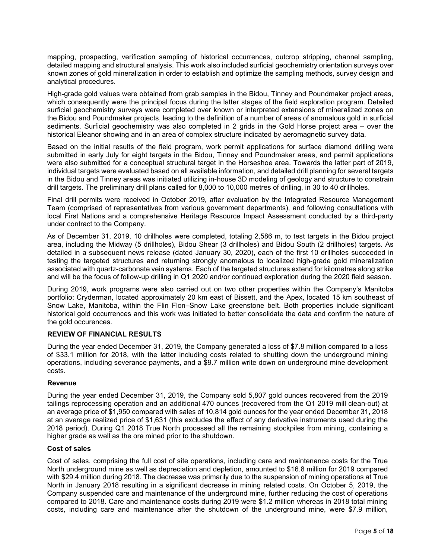mapping, prospecting, verification sampling of historical occurrences, outcrop stripping, channel sampling, detailed mapping and structural analysis. This work also included surficial geochemistry orientation surveys over known zones of gold mineralization in order to establish and optimize the sampling methods, survey design and analytical procedures.

High-grade gold values were obtained from grab samples in the Bidou, Tinney and Poundmaker project areas, which consequently were the principal focus during the latter stages of the field exploration program. Detailed surficial geochemistry surveys were completed over known or interpreted extensions of mineralized zones on the Bidou and Poundmaker projects, leading to the definition of a number of areas of anomalous gold in surficial sediments. Surficial geochemistry was also completed in 2 grids in the Gold Horse project area – over the historical Eleanor showing and in an area of complex structure indicated by aeromagnetic survey data.

Based on the initial results of the field program, work permit applications for surface diamond drilling were submitted in early July for eight targets in the Bidou, Tinney and Poundmaker areas, and permit applications were also submitted for a conceptual structural target in the Horseshoe area. Towards the latter part of 2019, individual targets were evaluated based on all available information, and detailed drill planning for several targets in the Bidou and Tinney areas was initiated utilizing in-house 3D modeling of geology and structure to constrain drill targets. The preliminary drill plans called for 8,000 to 10,000 metres of drilling, in 30 to 40 drillholes.

Final drill permits were received in October 2019, after evaluation by the Integrated Resource Management Team (comprised of representatives from various government departments), and following consultations with local First Nations and a comprehensive Heritage Resource Impact Assessment conducted by a third-party under contract to the Company.

As of December 31, 2019, 10 drillholes were completed, totaling 2,586 m, to test targets in the Bidou project area, including the Midway (5 drillholes), Bidou Shear (3 drillholes) and Bidou South (2 drillholes) targets. As detailed in a subsequent news release (dated January 30, 2020), each of the first 10 drillholes succeeded in testing the targeted structures and returning strongly anomalous to localized high-grade gold mineralization associated with quartz-carbonate vein systems. Each of the targeted structures extend for kilometres along strike and will be the focus of follow-up drilling in Q1 2020 and/or continued exploration during the 2020 field season.

During 2019, work programs were also carried out on two other properties within the Company's Manitoba portfolio: Cryderman, located approximately 20 km east of Bissett, and the Apex, located 15 km southeast of Snow Lake, Manitoba, within the Flin Flon–Snow Lake greenstone belt. Both properties include significant historical gold occurrences and this work was initiated to better consolidate the data and confirm the nature of the gold occurences.

# **REVIEW OF FINANCIAL RESULTS**

During the year ended December 31, 2019, the Company generated a loss of \$7.8 million compared to a loss of \$33.1 million for 2018, with the latter including costs related to shutting down the underground mining operations, including severance payments, and a \$9.7 million write down on underground mine development costs.

# **Revenue**

During the year ended December 31, 2019, the Company sold 5,807 gold ounces recovered from the 2019 tailings reprocessing operation and an additional 470 ounces (recovered from the Q1 2019 mill clean-out) at an average price of \$1,950 compared with sales of 10,814 gold ounces for the year ended December 31, 2018 at an average realized price of \$1,631 (this excludes the effect of any derivative instruments used during the 2018 period). During Q1 2018 True North processed all the remaining stockpiles from mining, containing a higher grade as well as the ore mined prior to the shutdown.

#### **Cost of sales**

Cost of sales, comprising the full cost of site operations, including care and maintenance costs for the True North underground mine as well as depreciation and depletion, amounted to \$16.8 million for 2019 compared with \$29.4 million during 2018. The decrease was primarily due to the suspension of mining operations at True North in January 2018 resulting in a significant decrease in mining related costs. On October 5, 2019, the Company suspended care and maintenance of the underground mine, further reducing the cost of operations compared to 2018. Care and maintenance costs during 2019 were \$1.2 million whereas in 2018 total mining costs, including care and maintenance after the shutdown of the underground mine, were \$7.9 million,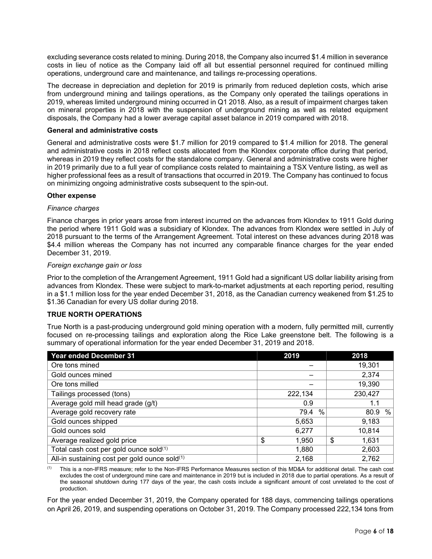excluding severance costs related to mining. During 2018, the Company also incurred \$1.4 million in severance costs in lieu of notice as the Company laid off all but essential personnel required for continued milling operations, underground care and maintenance, and tailings re-processing operations.

The decrease in depreciation and depletion for 2019 is primarily from reduced depletion costs, which arise from underground mining and tailings operations, as the Company only operated the tailings operations in 2019, whereas limited underground mining occurred in Q1 2018. Also, as a result of impairment charges taken on mineral properties in 2018 with the suspension of underground mining as well as related equipment disposals, the Company had a lower average capital asset balance in 2019 compared with 2018.

## **General and administrative costs**

General and administrative costs were \$1.7 million for 2019 compared to \$1.4 million for 2018. The general and administrative costs in 2018 reflect costs allocated from the Klondex corporate office during that period, whereas in 2019 they reflect costs for the standalone company. General and administrative costs were higher in 2019 primarily due to a full year of compliance costs related to maintaining a TSX Venture listing, as well as higher professional fees as a result of transactions that occurred in 2019. The Company has continued to focus on minimizing ongoing administrative costs subsequent to the spin-out.

#### **Other expense**

#### *Finance charges*

Finance charges in prior years arose from interest incurred on the advances from Klondex to 1911 Gold during the period where 1911 Gold was a subsidiary of Klondex. The advances from Klondex were settled in July of 2018 pursuant to the terms of the Arrangement Agreement. Total interest on these advances during 2018 was \$4.4 million whereas the Company has not incurred any comparable finance charges for the year ended December 31, 2019.

#### *Foreign exchange gain or loss*

Prior to the completion of the Arrangement Agreement, 1911 Gold had a significant US dollar liability arising from advances from Klondex. These were subject to mark-to-market adjustments at each reporting period, resulting in a \$1.1 million loss for the year ended December 31, 2018, as the Canadian currency weakened from \$1.25 to \$1.36 Canadian for every US dollar during 2018.

# **TRUE NORTH OPERATIONS**

True North is a past-producing underground gold mining operation with a modern, fully permitted mill, currently focused on re-processing tailings and exploration along the Rice Lake greenstone belt. The following is a summary of operational information for the year ended December 31, 2019 and 2018.

| <b>Year ended December 31</b>                 | 2019         | 2018        |
|-----------------------------------------------|--------------|-------------|
| Ore tons mined                                |              | 19,301      |
| Gold ounces mined                             |              | 2,374       |
| Ore tons milled                               |              | 19,390      |
| Tailings processed (tons)                     | 222,134      | 230,427     |
| Average gold mill head grade (g/t)            | 0.9          | 1.1         |
| Average gold recovery rate                    | $\%$<br>79.4 | %<br>80.9   |
| Gold ounces shipped                           | 5,653        | 9,183       |
| Gold ounces sold                              | 6,277        | 10,814      |
| Average realized gold price                   | \$<br>1,950  | \$<br>1,631 |
| Total cash cost per gold ounce sold(1)        | 1,880        | 2,603       |
| All-in sustaining cost per gold ounce sold(1) | 2,168        | 2,762       |

This is a non-IFRS measure; refer to the Non-IFRS Performance Measures section of this MD&A for additional detail. The cash cost excludes the cost of underground mine care and maintenance in 2019 but is included in 2018 due to partial operations. As a result of the seasonal shutdown during 177 days of the year, the cash costs include a significant amount of cost unrelated to the cost of production.

For the year ended December 31, 2019, the Company operated for 188 days, commencing tailings operations on April 26, 2019, and suspending operations on October 31, 2019. The Company processed 222,134 tons from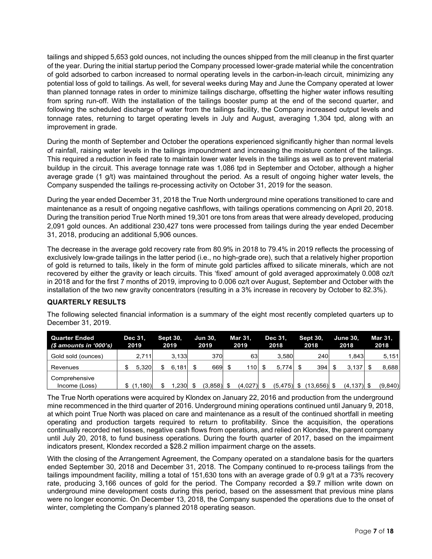tailings and shipped 5,653 gold ounces, not including the ounces shipped from the mill cleanup in the first quarter of the year. During the initial startup period the Company processed lower-grade material while the concentration of gold adsorbed to carbon increased to normal operating levels in the carbon-in-leach circuit, minimizing any potential loss of gold to tailings. As well, for several weeks during May and June the Company operated at lower than planned tonnage rates in order to minimize tailings discharge, offsetting the higher water inflows resulting from spring run-off. With the installation of the tailings booster pump at the end of the second quarter, and following the scheduled discharge of water from the tailings facility, the Company increased output levels and tonnage rates, returning to target operating levels in July and August, averaging 1,304 tpd, along with an improvement in grade.

During the month of September and October the operations experienced significantly higher than normal levels of rainfall, raising water levels in the tailings impoundment and increasing the moisture content of the tailings. This required a reduction in feed rate to maintain lower water levels in the tailings as well as to prevent material buildup in the circuit. This average tonnage rate was 1,086 tpd in September and October, although a higher average grade (1 g/t) was maintained throughout the period. As a result of ongoing higher water levels, the Company suspended the tailings re-processing activity on October 31, 2019 for the season.

During the year ended December 31, 2018 the True North underground mine operations transitioned to care and maintenance as a result of ongoing negative cashflows, with tailings operations commencing on April 20, 2018. During the transition period True North mined 19,301 ore tons from areas that were already developed, producing 2,091 gold ounces. An additional 230,427 tons were processed from tailings during the year ended December 31, 2018, producing an additional 5,906 ounces.

The decrease in the average gold recovery rate from 80.9% in 2018 to 79.4% in 2019 reflects the processing of exclusively low-grade tailings in the latter period (i.e., no high-grade ore), such that a relatively higher proportion of gold is returned to tails, likely in the form of minute gold particles affixed to silicate minerals, which are not recovered by either the gravity or leach circuits. This 'fixed' amount of gold averaged approximately 0.008 oz/t in 2018 and for the first 7 months of 2019, improving to 0.006 oz/t over August, September and October with the installation of the two new gravity concentrators (resulting in a 3% increase in recovery by October to 82.3%).

# **QUARTERLY RESULTS**

The following selected financial information is a summary of the eight most recently completed quarters up to December 31, 2019.

| <b>Quarter Ended</b><br>(\$ amounts in '000's) | Dec 31,<br>2019 | <b>Sept 30,</b><br>2019 | <b>Jun 30.</b><br>2019 | Mar 31,<br>2019 | Dec 31.<br>2018 | <b>Sept 30.</b><br>2018 | . June 30.<br>2018 | Mar 31.<br>2018 |
|------------------------------------------------|-----------------|-------------------------|------------------------|-----------------|-----------------|-------------------------|--------------------|-----------------|
| Gold sold (ounces)                             | 2.711           | 3.133                   | 370                    | 631             | 3.580           | 240                     | 1.843              | 5,151           |
| Revenues                                       | 5.320           | 6.181                   | 669                    | 110             | 5.774           | 394                     | 3.137              | 8,688           |
| Comprehensive                                  |                 |                         |                        |                 |                 |                         |                    |                 |
| Income (Loss)                                  | (1,180)         | .230                    | $(3,858)$ \$           | $(4,027)$ \$    | $(5,475)$ \$    | $(13,656)$ \$           | $(4, 137)$ \$      | (9,840)         |

The True North operations were acquired by Klondex on January 22, 2016 and production from the underground mine recommenced in the third quarter of 2016. Underground mining operations continued until January 9, 2018, at which point True North was placed on care and maintenance as a result of the continued shortfall in meeting operating and production targets required to return to profitability. Since the acquisition, the operations continually recorded net losses, negative cash flows from operations, and relied on Klondex, the parent company until July 20, 2018, to fund business operations. During the fourth quarter of 2017, based on the impairment indicators present, Klondex recorded a \$28.2 million impairment charge on the assets.

With the closing of the Arrangement Agreement, the Company operated on a standalone basis for the quarters ended September 30, 2018 and December 31, 2018. The Company continued to re-process tailings from the tailings impoundment facility, milling a total of 151,630 tons with an average grade of 0.9 g/t at a 73% recovery rate, producing 3,166 ounces of gold for the period. The Company recorded a \$9.7 million write down on underground mine development costs during this period, based on the assessment that previous mine plans were no longer economic. On December 13, 2018, the Company suspended the operations due to the onset of winter, completing the Company's planned 2018 operating season.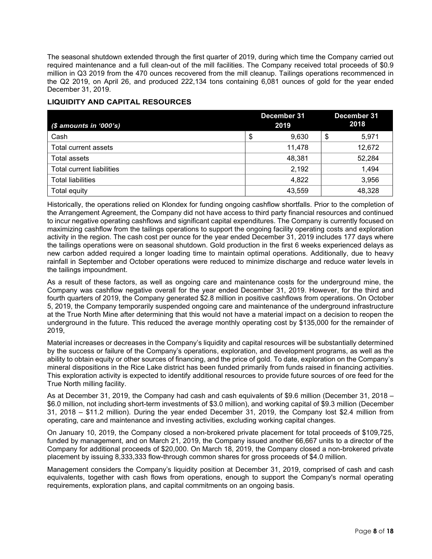The seasonal shutdown extended through the first quarter of 2019, during which time the Company carried out required maintenance and a full clean-out of the mill facilities. The Company received total proceeds of \$0.9 million in Q3 2019 from the 470 ounces recovered from the mill cleanup. Tailings operations recommenced in the Q2 2019, on April 26, and produced 222,134 tons containing 6,081 ounces of gold for the year ended December 31, 2019.

# **LIQUIDITY AND CAPITAL RESOURCES**

| $$$ amounts in '000's)           | December 31<br>2019 | December 31<br>2018 |
|----------------------------------|---------------------|---------------------|
| Cash                             | 9,630<br>\$         | \$<br>5,971         |
| Total current assets             | 11,478              | 12,672              |
| Total assets                     | 48,381              | 52,284              |
| <b>Total current liabilities</b> | 2,192               | 1,494               |
| <b>Total liabilities</b>         | 4,822               | 3,956               |
| Total equity                     | 43,559              | 48,328              |

Historically, the operations relied on Klondex for funding ongoing cashflow shortfalls. Prior to the completion of the Arrangement Agreement, the Company did not have access to third party financial resources and continued to incur negative operating cashflows and significant capital expenditures. The Company is currently focused on maximizing cashflow from the tailings operations to support the ongoing facility operating costs and exploration activity in the region. The cash cost per ounce for the year ended December 31, 2019 includes 177 days where the tailings operations were on seasonal shutdown. Gold production in the first 6 weeks experienced delays as new carbon added required a longer loading time to maintain optimal operations. Additionally, due to heavy rainfall in September and October operations were reduced to minimize discharge and reduce water levels in the tailings impoundment.

As a result of these factors, as well as ongoing care and maintenance costs for the underground mine, the Company was cashflow negative overall for the year ended December 31, 2019. However, for the third and fourth quarters of 2019, the Company generated \$2.8 million in positive cashflows from operations. On October 5, 2019, the Company temporarily suspended ongoing care and maintenance of the underground infrastructure at the True North Mine after determining that this would not have a material impact on a decision to reopen the underground in the future. This reduced the average monthly operating cost by \$135,000 for the remainder of 2019,

Material increases or decreases in the Company's liquidity and capital resources will be substantially determined by the success or failure of the Company's operations, exploration, and development programs, as well as the ability to obtain equity or other sources of financing, and the price of gold. To date, exploration on the Company's mineral dispositions in the Rice Lake district has been funded primarily from funds raised in financing activities. This exploration activity is expected to identify additional resources to provide future sources of ore feed for the True North milling facility.

As at December 31, 2019, the Company had cash and cash equivalents of \$9.6 million (December 31, 2018 – \$6.0 million, not including short-term investments of \$3.0 million), and working capital of \$9.3 million (December 31, 2018 – \$11.2 million). During the year ended December 31, 2019, the Company lost \$2.4 million from operating, care and maintenance and investing activities, excluding working capital changes.

On January 10, 2019, the Company closed a non-brokered private placement for total proceeds of \$109,725, funded by management, and on March 21, 2019, the Company issued another 66,667 units to a director of the Company for additional proceeds of \$20,000. On March 18, 2019, the Company closed a non-brokered private placement by issuing 8,333,333 flow-through common shares for gross proceeds of \$4.0 million.

Management considers the Company's liquidity position at December 31, 2019, comprised of cash and cash equivalents, together with cash flows from operations, enough to support the Company's normal operating requirements, exploration plans, and capital commitments on an ongoing basis.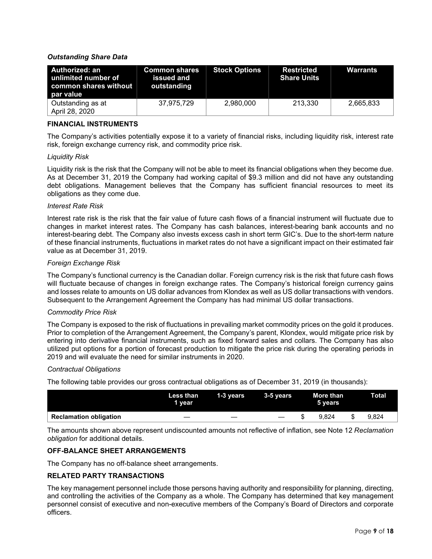# *Outstanding Share Data*

| Authorized: an<br>unlimited number of<br>$\mid$ common shares without $\mid$<br>par value | <b>Common shares</b><br>issued and<br>outstanding | <b>Stock Options</b> | <b>Restricted</b><br><b>Share Units</b> | Warrants  |
|-------------------------------------------------------------------------------------------|---------------------------------------------------|----------------------|-----------------------------------------|-----------|
| Outstanding as at<br>April 28, 2020                                                       | 37.975.729                                        | 2.980.000            | 213.330                                 | 2,665,833 |

# **FINANCIAL INSTRUMENTS**

The Company's activities potentially expose it to a variety of financial risks, including liquidity risk, interest rate risk, foreign exchange currency risk, and commodity price risk.

# *Liquidity Risk*

Liquidity risk is the risk that the Company will not be able to meet its financial obligations when they become due. As at December 31, 2019 the Company had working capital of \$9.3 million and did not have any outstanding debt obligations. Management believes that the Company has sufficient financial resources to meet its obligations as they come due.

# *Interest Rate Risk*

Interest rate risk is the risk that the fair value of future cash flows of a financial instrument will fluctuate due to changes in market interest rates. The Company has cash balances, interest-bearing bank accounts and no interest-bearing debt. The Company also invests excess cash in short term GIC's. Due to the short-term nature of these financial instruments, fluctuations in market rates do not have a significant impact on their estimated fair value as at December 31, 2019.

# *Foreign Exchange Risk*

The Company's functional currency is the Canadian dollar. Foreign currency risk is the risk that future cash flows will fluctuate because of changes in foreign exchange rates. The Company's historical foreign currency gains and losses relate to amounts on US dollar advances from Klondex as well as US dollar transactions with vendors. Subsequent to the Arrangement Agreement the Company has had minimal US dollar transactions.

# *Commodity Price Risk*

The Company is exposed to the risk of fluctuations in prevailing market commodity prices on the gold it produces. Prior to completion of the Arrangement Agreement, the Company's parent, Klondex, would mitigate price risk by entering into derivative financial instruments, such as fixed forward sales and collars. The Company has also utilized put options for a portion of forecast production to mitigate the price risk during the operating periods in 2019 and will evaluate the need for similar instruments in 2020.

# *Contractual Obligations*

The following table provides our gross contractual obligations as of December 31, 2019 (in thousands):

|                               | Less than<br>1 vear | 1-3 years | 3-5 years | More than <b>\</b><br>5 vears | <b>Total</b> |
|-------------------------------|---------------------|-----------|-----------|-------------------------------|--------------|
| <b>Reclamation obligation</b> |                     |           |           | 9.824                         | 9.824        |
|                               |                     |           |           |                               |              |

The amounts shown above represent undiscounted amounts not reflective of inflation, see Note 12 *Reclamation obligation* for additional details.

# **OFF-BALANCE SHEET ARRANGEMENTS**

The Company has no off-balance sheet arrangements.

# **RELATED PARTY TRANSACTIONS**

The key management personnel include those persons having authority and responsibility for planning, directing, and controlling the activities of the Company as a whole. The Company has determined that key management personnel consist of executive and non-executive members of the Company's Board of Directors and corporate officers.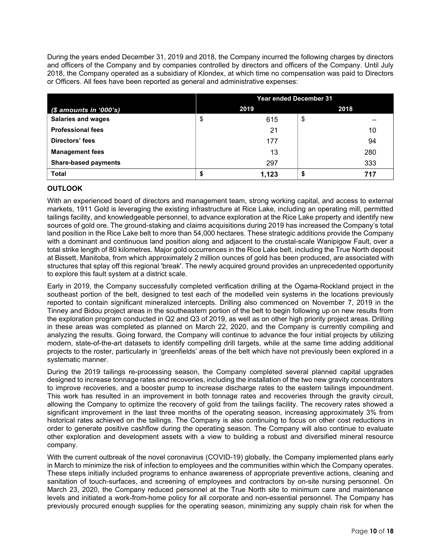During the years ended December 31, 2019 and 2018, the Company incurred the following charges by directors and officers of the Company and by companies controlled by directors and officers of the Company. Until July 2018, the Company operated as a subsidiary of Klondex, at which time no compensation was paid to Directors or Officers. All fees have been reported as general and administrative expenses:

|                             | <b>Year ended December 31</b> |       |      |     |  |  |  |
|-----------------------------|-------------------------------|-------|------|-----|--|--|--|
| $$$ amounts in '000's)      |                               | 2019  | 2018 |     |  |  |  |
| <b>Salaries and wages</b>   | \$                            | 615   | \$   |     |  |  |  |
| <b>Professional fees</b>    |                               | 21    |      | 10  |  |  |  |
| Directors' fees             |                               | 177   |      | 94  |  |  |  |
| <b>Management fees</b>      |                               | 13    |      | 280 |  |  |  |
| <b>Share-based payments</b> |                               | 297   |      | 333 |  |  |  |
| <b>Total</b>                | \$                            | 1,123 |      | 717 |  |  |  |

# **OUTLOOK**

With an experienced board of directors and management team, strong working capital, and access to external markets, 1911 Gold is leveraging the existing infrastructure at Rice Lake, including an operating mill, permitted tailings facility, and knowledgeable personnel, to advance exploration at the Rice Lake property and identify new sources of gold ore. The ground-staking and claims acquisitions during 2019 has increased the Company's total land position in the Rice Lake belt to more than 54,000 hectares. These strategic additions provide the Company with a dominant and continuous land position along and adjacent to the crustal-scale Wanipigow Fault, over a total strike length of 80 kilometres. Major gold occurrences in the Rice Lake belt, including the True North deposit at Bissett, Manitoba, from which approximately 2 million ounces of gold has been produced, are associated with structures that splay off this regional 'break'. The newly acquired ground provides an unprecedented opportunity to explore this fault system at a district scale.

Early in 2019, the Company successfully completed verification drilling at the Ogama-Rockland project in the southeast portion of the belt, designed to test each of the modelled vein systems in the locations previously reported to contain significant mineralized intercepts. Drilling also commenced on November 7, 2019 in the Tinney and Bidou project areas in the southeastern portion of the belt to begin following up on new results from the exploration program conducted in Q2 and Q3 of 2019, as well as on other high priority project areas. Drilling in these areas was completed as planned on March 22, 2020, and the Company is currently compiling and analyzing the results. Going forward, the Company will continue to advance the four initial projects by utilizing modern, state-of-the-art datasets to identify compelling drill targets, while at the same time adding additional projects to the roster, particularly in 'greenfields' areas of the belt which have not previously been explored in a systematic manner.

During the 2019 tailings re-processing season, the Company completed several planned capital upgrades designed to increase tonnage rates and recoveries, including the installation of the two new gravity concentrators to improve recoveries, and a booster pump to increase discharge rates to the eastern tailings impoundment. This work has resulted in an improvement in both tonnage rates and recoveries through the gravity circuit, allowing the Company to optimize the recovery of gold from the tailings facility. The recovery rates showed a significant improvement in the last three months of the operating season, increasing approximately 3% from historical rates achieved on the tailings. The Company is also continuing to focus on other cost reductions in order to generate positive cashflow during the operating season. The Company will also continue to evaluate other exploration and development assets with a view to building a robust and diversified mineral resource company.

With the current outbreak of the novel coronavirus (COVID-19) globally, the Company implemented plans early in March to minimize the risk of infection to employees and the communities within which the Company operates. These steps initially included programs to enhance awareness of appropriate preventive actions, cleaning and sanitation of touch-surfaces, and screening of employees and contractors by on-site nursing personnel. On March 23, 2020, the Company reduced personnel at the True North site to minimum care and maintenance levels and initiated a work-from-home policy for all corporate and non-essential personnel. The Company has previously procured enough supplies for the operating season, minimizing any supply chain risk for when the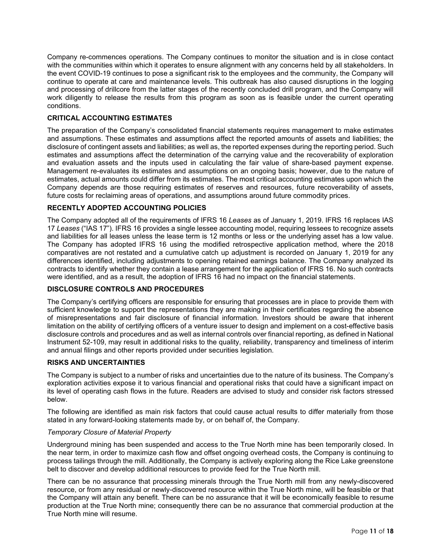Company re-commences operations. The Company continues to monitor the situation and is in close contact with the communities within which it operates to ensure alignment with any concerns held by all stakeholders. In the event COVID-19 continues to pose a significant risk to the employees and the community, the Company will continue to operate at care and maintenance levels. This outbreak has also caused disruptions in the logging and processing of drillcore from the latter stages of the recently concluded drill program, and the Company will work diligently to release the results from this program as soon as is feasible under the current operating conditions.

# **CRITICAL ACCOUNTING ESTIMATES**

The preparation of the Company's consolidated financial statements requires management to make estimates and assumptions. These estimates and assumptions affect the reported amounts of assets and liabilities; the disclosure of contingent assets and liabilities; as well as, the reported expenses during the reporting period. Such estimates and assumptions affect the determination of the carrying value and the recoverability of exploration and evaluation assets and the inputs used in calculating the fair value of share-based payment expense. Management re-evaluates its estimates and assumptions on an ongoing basis; however, due to the nature of estimates, actual amounts could differ from its estimates. The most critical accounting estimates upon which the Company depends are those requiring estimates of reserves and resources, future recoverability of assets, future costs for reclaiming areas of operations, and assumptions around future commodity prices.

# **RECENTLY ADOPTED ACCOUNTING POLICIES**

The Company adopted all of the requirements of IFRS 16 *Leases* as of January 1, 2019. IFRS 16 replaces IAS 17 *Leases* ("IAS 17"). IFRS 16 provides a single lessee accounting model, requiring lessees to recognize assets and liabilities for all leases unless the lease term is 12 months or less or the underlying asset has a low value. The Company has adopted IFRS 16 using the modified retrospective application method, where the 2018 comparatives are not restated and a cumulative catch up adjustment is recorded on January 1, 2019 for any differences identified, including adjustments to opening retained earnings balance. The Company analyzed its contracts to identify whether they contain a lease arrangement for the application of IFRS 16. No such contracts were identified, and as a result, the adoption of IFRS 16 had no impact on the financial statements.

# **DISCLOSURE CONTROLS AND PROCEDURES**

The Company's certifying officers are responsible for ensuring that processes are in place to provide them with sufficient knowledge to support the representations they are making in their certificates regarding the absence of misrepresentations and fair disclosure of financial information. Investors should be aware that inherent limitation on the ability of certifying officers of a venture issuer to design and implement on a cost-effective basis disclosure controls and procedures and as well as internal controls over financial reporting, as defined in National Instrument 52-109, may result in additional risks to the quality, reliability, transparency and timeliness of interim and annual filings and other reports provided under securities legislation.

# **RISKS AND UNCERTAINTIES**

The Company is subject to a number of risks and uncertainties due to the nature of its business. The Company's exploration activities expose it to various financial and operational risks that could have a significant impact on its level of operating cash flows in the future. Readers are advised to study and consider risk factors stressed below.

The following are identified as main risk factors that could cause actual results to differ materially from those stated in any forward-looking statements made by, or on behalf of, the Company.

# *Temporary Closure of Material Property*

Underground mining has been suspended and access to the True North mine has been temporarily closed. In the near term, in order to maximize cash flow and offset ongoing overhead costs, the Company is continuing to process tailings through the mill. Additionally, the Company is actively exploring along the Rice Lake greenstone belt to discover and develop additional resources to provide feed for the True North mill.

There can be no assurance that processing minerals through the True North mill from any newly-discovered resource, or from any residual or newly-discovered resource within the True North mine, will be feasible or that the Company will attain any benefit. There can be no assurance that it will be economically feasible to resume production at the True North mine; consequently there can be no assurance that commercial production at the True North mine will resume.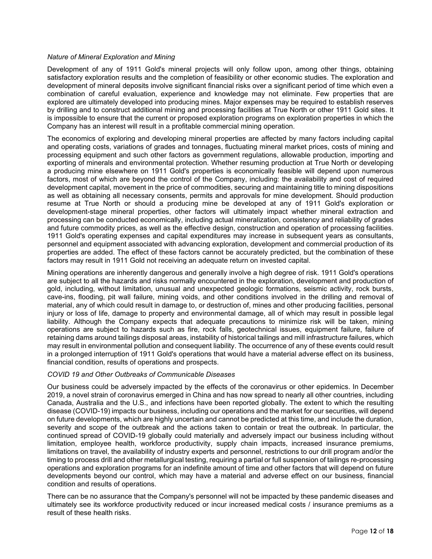# *Nature of Mineral Exploration and Mining*

Development of any of 1911 Gold's mineral projects will only follow upon, among other things, obtaining satisfactory exploration results and the completion of feasibility or other economic studies. The exploration and development of mineral deposits involve significant financial risks over a significant period of time which even a combination of careful evaluation, experience and knowledge may not eliminate. Few properties that are explored are ultimately developed into producing mines. Major expenses may be required to establish reserves by drilling and to construct additional mining and processing facilities at True North or other 1911 Gold sites. It is impossible to ensure that the current or proposed exploration programs on exploration properties in which the Company has an interest will result in a profitable commercial mining operation.

The economics of exploring and developing mineral properties are affected by many factors including capital and operating costs, variations of grades and tonnages, fluctuating mineral market prices, costs of mining and processing equipment and such other factors as government regulations, allowable production, importing and exporting of minerals and environmental protection. Whether resuming production at True North or developing a producing mine elsewhere on 1911 Gold's properties is economically feasible will depend upon numerous factors, most of which are beyond the control of the Company, including: the availability and cost of required development capital, movement in the price of commodities, securing and maintaining title to mining dispositions as well as obtaining all necessary consents, permits and approvals for mine development. Should production resume at True North or should a producing mine be developed at any of 1911 Gold's exploration or development-stage mineral properties, other factors will ultimately impact whether mineral extraction and processing can be conducted economically, including actual mineralization, consistency and reliability of grades and future commodity prices, as well as the effective design, construction and operation of processing facilities. 1911 Gold's operating expenses and capital expenditures may increase in subsequent years as consultants, personnel and equipment associated with advancing exploration, development and commercial production of its properties are added. The effect of these factors cannot be accurately predicted, but the combination of these factors may result in 1911 Gold not receiving an adequate return on invested capital.

Mining operations are inherently dangerous and generally involve a high degree of risk. 1911 Gold's operations are subject to all the hazards and risks normally encountered in the exploration, development and production of gold, including, without limitation, unusual and unexpected geologic formations, seismic activity, rock bursts, cave-ins, flooding, pit wall failure, mining voids, and other conditions involved in the drilling and removal of material, any of which could result in damage to, or destruction of, mines and other producing facilities, personal injury or loss of life, damage to property and environmental damage, all of which may result in possible legal liability. Although the Company expects that adequate precautions to minimize risk will be taken, mining operations are subject to hazards such as fire, rock falls, geotechnical issues, equipment failure, failure of retaining dams around tailings disposal areas, instability of historical tailings and mill infrastructure failures, which may result in environmental pollution and consequent liability. The occurrence of any of these events could result in a prolonged interruption of 1911 Gold's operations that would have a material adverse effect on its business, financial condition, results of operations and prospects.

# *COVID 19 and Other Outbreaks of Communicable Diseases*

Our business could be adversely impacted by the effects of the coronavirus or other epidemics. In December 2019, a novel strain of coronavirus emerged in China and has now spread to nearly all other countries, including Canada, Australia and the U.S., and infections have been reported globally. The extent to which the resulting disease (COVID-19) impacts our business, including our operations and the market for our securities, will depend on future developments, which are highly uncertain and cannot be predicted at this time, and include the duration, severity and scope of the outbreak and the actions taken to contain or treat the outbreak. In particular, the continued spread of COVID-19 globally could materially and adversely impact our business including without limitation, employee health, workforce productivity, supply chain impacts, increased insurance premiums, limitations on travel, the availability of industry experts and personnel, restrictions to our drill program and/or the timing to process drill and other metallurgical testing, requiring a partial or full suspension of tailings re-processing operations and exploration programs for an indefinite amount of time and other factors that will depend on future developments beyond our control, which may have a material and adverse effect on our business, financial condition and results of operations.

There can be no assurance that the Company's personnel will not be impacted by these pandemic diseases and ultimately see its workforce productivity reduced or incur increased medical costs / insurance premiums as a result of these health risks.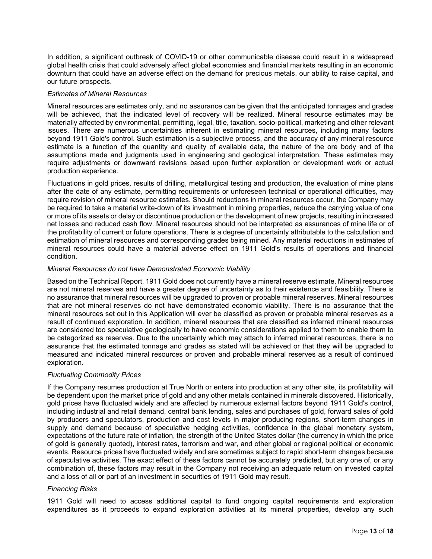In addition, a significant outbreak of COVID-19 or other communicable disease could result in a widespread global health crisis that could adversely affect global economies and financial markets resulting in an economic downturn that could have an adverse effect on the demand for precious metals, our ability to raise capital, and our future prospects.

## *Estimates of Mineral Resources*

Mineral resources are estimates only, and no assurance can be given that the anticipated tonnages and grades will be achieved, that the indicated level of recovery will be realized. Mineral resource estimates may be materially affected by environmental, permitting, legal, title, taxation, socio-political, marketing and other relevant issues. There are numerous uncertainties inherent in estimating mineral resources, including many factors beyond 1911 Gold's control. Such estimation is a subjective process, and the accuracy of any mineral resource estimate is a function of the quantity and quality of available data, the nature of the ore body and of the assumptions made and judgments used in engineering and geological interpretation. These estimates may require adjustments or downward revisions based upon further exploration or development work or actual production experience.

Fluctuations in gold prices, results of drilling, metallurgical testing and production, the evaluation of mine plans after the date of any estimate, permitting requirements or unforeseen technical or operational difficulties, may require revision of mineral resource estimates. Should reductions in mineral resources occur, the Company may be required to take a material write-down of its investment in mining properties, reduce the carrying value of one or more of its assets or delay or discontinue production or the development of new projects, resulting in increased net losses and reduced cash flow. Mineral resources should not be interpreted as assurances of mine life or of the profitability of current or future operations. There is a degree of uncertainty attributable to the calculation and estimation of mineral resources and corresponding grades being mined. Any material reductions in estimates of mineral resources could have a material adverse effect on 1911 Gold's results of operations and financial condition.

# *Mineral Resources do not have Demonstrated Economic Viability*

Based on the Technical Report, 1911 Gold does not currently have a mineral reserve estimate. Mineral resources are not mineral reserves and have a greater degree of uncertainty as to their existence and feasibility. There is no assurance that mineral resources will be upgraded to proven or probable mineral reserves. Mineral resources that are not mineral reserves do not have demonstrated economic viability. There is no assurance that the mineral resources set out in this Application will ever be classified as proven or probable mineral reserves as a result of continued exploration. In addition, mineral resources that are classified as inferred mineral resources are considered too speculative geologically to have economic considerations applied to them to enable them to be categorized as reserves. Due to the uncertainty which may attach to inferred mineral resources, there is no assurance that the estimated tonnage and grades as stated will be achieved or that they will be upgraded to measured and indicated mineral resources or proven and probable mineral reserves as a result of continued exploration.

# *Fluctuating Commodity Prices*

If the Company resumes production at True North or enters into production at any other site, its profitability will be dependent upon the market price of gold and any other metals contained in minerals discovered. Historically, gold prices have fluctuated widely and are affected by numerous external factors beyond 1911 Gold's control, including industrial and retail demand, central bank lending, sales and purchases of gold, forward sales of gold by producers and speculators, production and cost levels in major producing regions, short-term changes in supply and demand because of speculative hedging activities, confidence in the global monetary system, expectations of the future rate of inflation, the strength of the United States dollar (the currency in which the price of gold is generally quoted), interest rates, terrorism and war, and other global or regional political or economic events. Resource prices have fluctuated widely and are sometimes subject to rapid short-term changes because of speculative activities. The exact effect of these factors cannot be accurately predicted, but any one of, or any combination of, these factors may result in the Company not receiving an adequate return on invested capital and a loss of all or part of an investment in securities of 1911 Gold may result.

# *Financing Risks*

1911 Gold will need to access additional capital to fund ongoing capital requirements and exploration expenditures as it proceeds to expand exploration activities at its mineral properties, develop any such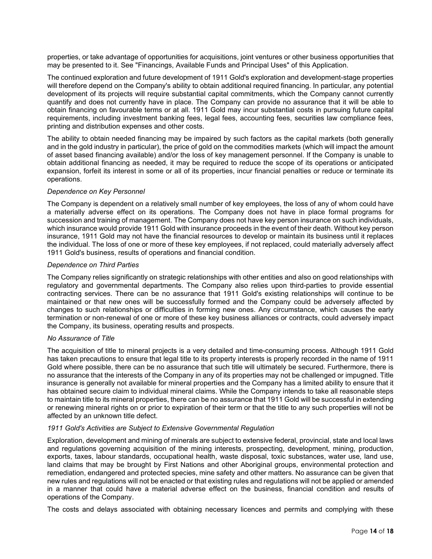properties, or take advantage of opportunities for acquisitions, joint ventures or other business opportunities that may be presented to it. See "Financings, Available Funds and Principal Uses" of this Application.

The continued exploration and future development of 1911 Gold's exploration and development-stage properties will therefore depend on the Company's ability to obtain additional required financing. In particular, any potential development of its projects will require substantial capital commitments, which the Company cannot currently quantify and does not currently have in place. The Company can provide no assurance that it will be able to obtain financing on favourable terms or at all. 1911 Gold may incur substantial costs in pursuing future capital requirements, including investment banking fees, legal fees, accounting fees, securities law compliance fees, printing and distribution expenses and other costs.

The ability to obtain needed financing may be impaired by such factors as the capital markets (both generally and in the gold industry in particular), the price of gold on the commodities markets (which will impact the amount of asset based financing available) and/or the loss of key management personnel. If the Company is unable to obtain additional financing as needed, it may be required to reduce the scope of its operations or anticipated expansion, forfeit its interest in some or all of its properties, incur financial penalties or reduce or terminate its operations.

## *Dependence on Key Personnel*

The Company is dependent on a relatively small number of key employees, the loss of any of whom could have a materially adverse effect on its operations. The Company does not have in place formal programs for succession and training of management. The Company does not have key person insurance on such individuals, which insurance would provide 1911 Gold with insurance proceeds in the event of their death. Without key person insurance, 1911 Gold may not have the financial resources to develop or maintain its business until it replaces the individual. The loss of one or more of these key employees, if not replaced, could materially adversely affect 1911 Gold's business, results of operations and financial condition.

#### *Dependence on Third Parties*

The Company relies significantly on strategic relationships with other entities and also on good relationships with regulatory and governmental departments. The Company also relies upon third-parties to provide essential contracting services. There can be no assurance that 1911 Gold's existing relationships will continue to be maintained or that new ones will be successfully formed and the Company could be adversely affected by changes to such relationships or difficulties in forming new ones. Any circumstance, which causes the early termination or non-renewal of one or more of these key business alliances or contracts, could adversely impact the Company, its business, operating results and prospects.

#### *No Assurance of Title*

The acquisition of title to mineral projects is a very detailed and time-consuming process. Although 1911 Gold has taken precautions to ensure that legal title to its property interests is properly recorded in the name of 1911 Gold where possible, there can be no assurance that such title will ultimately be secured. Furthermore, there is no assurance that the interests of the Company in any of its properties may not be challenged or impugned. Title insurance is generally not available for mineral properties and the Company has a limited ability to ensure that it has obtained secure claim to individual mineral claims. While the Company intends to take all reasonable steps to maintain title to its mineral properties, there can be no assurance that 1911 Gold will be successful in extending or renewing mineral rights on or prior to expiration of their term or that the title to any such properties will not be affected by an unknown title defect.

#### *1911 Gold's Activities are Subject to Extensive Governmental Regulation*

Exploration, development and mining of minerals are subject to extensive federal, provincial, state and local laws and regulations governing acquisition of the mining interests, prospecting, development, mining, production, exports, taxes, labour standards, occupational health, waste disposal, toxic substances, water use, land use, land claims that may be brought by First Nations and other Aboriginal groups, environmental protection and remediation, endangered and protected species, mine safety and other matters. No assurance can be given that new rules and regulations will not be enacted or that existing rules and regulations will not be applied or amended in a manner that could have a material adverse effect on the business, financial condition and results of operations of the Company.

The costs and delays associated with obtaining necessary licences and permits and complying with these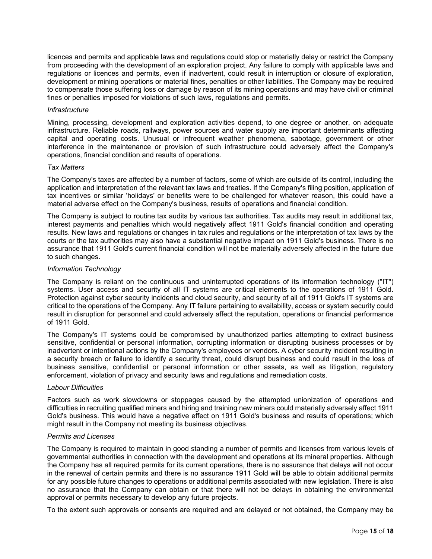licences and permits and applicable laws and regulations could stop or materially delay or restrict the Company from proceeding with the development of an exploration project. Any failure to comply with applicable laws and regulations or licences and permits, even if inadvertent, could result in interruption or closure of exploration, development or mining operations or material fines, penalties or other liabilities. The Company may be required to compensate those suffering loss or damage by reason of its mining operations and may have civil or criminal fines or penalties imposed for violations of such laws, regulations and permits.

#### *Infrastructure*

Mining, processing, development and exploration activities depend, to one degree or another, on adequate infrastructure. Reliable roads, railways, power sources and water supply are important determinants affecting capital and operating costs. Unusual or infrequent weather phenomena, sabotage, government or other interference in the maintenance or provision of such infrastructure could adversely affect the Company's operations, financial condition and results of operations.

## *Tax Matters*

The Company's taxes are affected by a number of factors, some of which are outside of its control, including the application and interpretation of the relevant tax laws and treaties. If the Company's filing position, application of tax incentives or similar 'holidays' or benefits were to be challenged for whatever reason, this could have a material adverse effect on the Company's business, results of operations and financial condition.

The Company is subject to routine tax audits by various tax authorities. Tax audits may result in additional tax, interest payments and penalties which would negatively affect 1911 Gold's financial condition and operating results. New laws and regulations or changes in tax rules and regulations or the interpretation of tax laws by the courts or the tax authorities may also have a substantial negative impact on 1911 Gold's business. There is no assurance that 1911 Gold's current financial condition will not be materially adversely affected in the future due to such changes.

## *Information Technology*

The Company is reliant on the continuous and uninterrupted operations of its information technology ("IT") systems. User access and security of all IT systems are critical elements to the operations of 1911 Gold. Protection against cyber security incidents and cloud security, and security of all of 1911 Gold's IT systems are critical to the operations of the Company. Any IT failure pertaining to availability, access or system security could result in disruption for personnel and could adversely affect the reputation, operations or financial performance of 1911 Gold.

The Company's IT systems could be compromised by unauthorized parties attempting to extract business sensitive, confidential or personal information, corrupting information or disrupting business processes or by inadvertent or intentional actions by the Company's employees or vendors. A cyber security incident resulting in a security breach or failure to identify a security threat, could disrupt business and could result in the loss of business sensitive, confidential or personal information or other assets, as well as litigation, regulatory enforcement, violation of privacy and security laws and regulations and remediation costs.

#### *Labour Difficulties*

Factors such as work slowdowns or stoppages caused by the attempted unionization of operations and difficulties in recruiting qualified miners and hiring and training new miners could materially adversely affect 1911 Gold's business. This would have a negative effect on 1911 Gold's business and results of operations; which might result in the Company not meeting its business objectives.

#### *Permits and Licenses*

The Company is required to maintain in good standing a number of permits and licenses from various levels of governmental authorities in connection with the development and operations at its mineral properties. Although the Company has all required permits for its current operations, there is no assurance that delays will not occur in the renewal of certain permits and there is no assurance 1911 Gold will be able to obtain additional permits for any possible future changes to operations or additional permits associated with new legislation. There is also no assurance that the Company can obtain or that there will not be delays in obtaining the environmental approval or permits necessary to develop any future projects.

To the extent such approvals or consents are required and are delayed or not obtained, the Company may be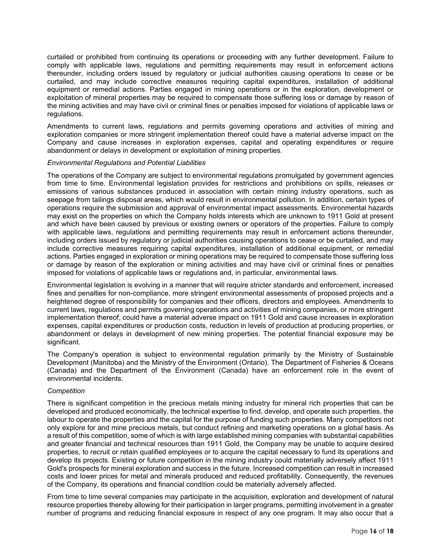curtailed or prohibited from continuing its operations or proceeding with any further development. Failure to comply with applicable laws, regulations and permitting requirements may result in enforcement actions thereunder, including orders issued by regulatory or judicial authorities causing operations to cease or be curtailed, and may include corrective measures requiring capital expenditures, installation of additional equipment or remedial actions. Parties engaged in mining operations or in the exploration, development or exploitation of mineral properties may be required to compensate those suffering loss or damage by reason of the mining activities and may have civil or criminal fines or penalties imposed for violations of applicable laws or regulations.

Amendments to current laws, regulations and permits governing operations and activities of mining and exploration companies or more stringent implementation thereof could have a material adverse impact on the Company and cause increases in exploration expenses, capital and operating expenditures or require abandonment or delays in development or exploitation of mining properties.

#### *Environmental Regulations and Potential Liabilities*

The operations of the Company are subject to environmental regulations promulgated by government agencies from time to time. Environmental legislation provides for restrictions and prohibitions on spills, releases or emissions of various substances produced in association with certain mining industry operations, such as seepage from tailings disposal areas, which would result in environmental pollution. In addition, certain types of operations require the submission and approval of environmental impact assessments. Environmental hazards may exist on the properties on which the Company holds interests which are unknown to 1911 Gold at present and which have been caused by previous or existing owners or operators of the properties. Failure to comply with applicable laws, regulations and permitting requirements may result in enforcement actions thereunder, including orders issued by regulatory or judicial authorities causing operations to cease or be curtailed, and may include corrective measures requiring capital expenditures, installation of additional equipment, or remedial actions. Parties engaged in exploration or mining operations may be required to compensate those suffering loss or damage by reason of the exploration or mining activities and may have civil or criminal fines or penalties imposed for violations of applicable laws or regulations and, in particular, environmental laws.

Environmental legislation is evolving in a manner that will require stricter standards and enforcement, increased fines and penalties for non-compliance, more stringent environmental assessments of proposed projects and a heightened degree of responsibility for companies and their officers, directors and employees. Amendments to current laws, regulations and permits governing operations and activities of mining companies, or more stringent implementation thereof, could have a material adverse impact on 1911 Gold and cause increases in exploration expenses, capital expenditures or production costs, reduction in levels of production at producing properties, or abandonment or delays in development of new mining properties. The potential financial exposure may be significant.

The Company's operation is subject to environmental regulation primarily by the Ministry of Sustainable Development (Manitoba) and the Ministry of the Environment (Ontario). The Department of Fisheries & Oceans (Canada) and the Department of the Environment (Canada) have an enforcement role in the event of environmental incidents.

# *Competition*

There is significant competition in the precious metals mining industry for mineral rich properties that can be developed and produced economically, the technical expertise to find, develop, and operate such properties, the labour to operate the properties and the capital for the purpose of funding such properties. Many competitors not only explore for and mine precious metals, but conduct refining and marketing operations on a global basis. As a result of this competition, some of which is with large established mining companies with substantial capabilities and greater financial and technical resources than 1911 Gold, the Company may be unable to acquire desired properties, to recruit or retain qualified employees or to acquire the capital necessary to fund its operations and develop its projects. Existing or future competition in the mining industry could materially adversely affect 1911 Gold's prospects for mineral exploration and success in the future. Increased competition can result in increased costs and lower prices for metal and minerals produced and reduced profitability. Consequently, the revenues of the Company, its operations and financial condition could be materially adversely affected.

From time to time several companies may participate in the acquisition, exploration and development of natural resource properties thereby allowing for their participation in larger programs, permitting involvement in a greater number of programs and reducing financial exposure in respect of any one program. It may also occur that a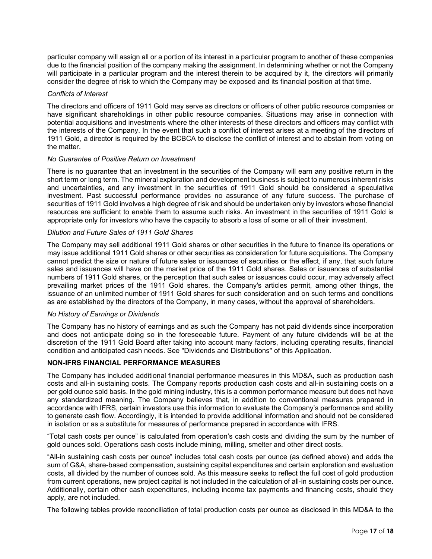particular company will assign all or a portion of its interest in a particular program to another of these companies due to the financial position of the company making the assignment. In determining whether or not the Company will participate in a particular program and the interest therein to be acquired by it, the directors will primarily consider the degree of risk to which the Company may be exposed and its financial position at that time.

## *Conflicts of Interest*

The directors and officers of 1911 Gold may serve as directors or officers of other public resource companies or have significant shareholdings in other public resource companies. Situations may arise in connection with potential acquisitions and investments where the other interests of these directors and officers may conflict with the interests of the Company. In the event that such a conflict of interest arises at a meeting of the directors of 1911 Gold, a director is required by the BCBCA to disclose the conflict of interest and to abstain from voting on the matter.

## *No Guarantee of Positive Return on Investment*

There is no guarantee that an investment in the securities of the Company will earn any positive return in the short term or long term. The mineral exploration and development business is subject to numerous inherent risks and uncertainties, and any investment in the securities of 1911 Gold should be considered a speculative investment. Past successful performance provides no assurance of any future success. The purchase of securities of 1911 Gold involves a high degree of risk and should be undertaken only by investors whose financial resources are sufficient to enable them to assume such risks. An investment in the securities of 1911 Gold is appropriate only for investors who have the capacity to absorb a loss of some or all of their investment.

# *Dilution and Future Sales of 1911 Gold Shares*

The Company may sell additional 1911 Gold shares or other securities in the future to finance its operations or may issue additional 1911 Gold shares or other securities as consideration for future acquisitions. The Company cannot predict the size or nature of future sales or issuances of securities or the effect, if any, that such future sales and issuances will have on the market price of the 1911 Gold shares. Sales or issuances of substantial numbers of 1911 Gold shares, or the perception that such sales or issuances could occur, may adversely affect prevailing market prices of the 1911 Gold shares. the Company's articles permit, among other things, the issuance of an unlimited number of 1911 Gold shares for such consideration and on such terms and conditions as are established by the directors of the Company, in many cases, without the approval of shareholders.

#### *No History of Earnings or Dividends*

The Company has no history of earnings and as such the Company has not paid dividends since incorporation and does not anticipate doing so in the foreseeable future. Payment of any future dividends will be at the discretion of the 1911 Gold Board after taking into account many factors, including operating results, financial condition and anticipated cash needs. See "Dividends and Distributions" of this Application.

# **NON-IFRS FINANCIAL PERFORMANCE MEASURES**

The Company has included additional financial performance measures in this MD&A, such as production cash costs and all-in sustaining costs. The Company reports production cash costs and all-in sustaining costs on a per gold ounce sold basis. In the gold mining industry, this is a common performance measure but does not have any standardized meaning. The Company believes that, in addition to conventional measures prepared in accordance with IFRS, certain investors use this information to evaluate the Company's performance and ability to generate cash flow. Accordingly, it is intended to provide additional information and should not be considered in isolation or as a substitute for measures of performance prepared in accordance with IFRS.

"Total cash costs per ounce" is calculated from operation's cash costs and dividing the sum by the number of gold ounces sold. Operations cash costs include mining, milling, smelter and other direct costs.

"All-in sustaining cash costs per ounce" includes total cash costs per ounce (as defined above) and adds the sum of G&A, share-based compensation, sustaining capital expenditures and certain exploration and evaluation costs, all divided by the number of ounces sold. As this measure seeks to reflect the full cost of gold production from current operations, new project capital is not included in the calculation of all-in sustaining costs per ounce. Additionally, certain other cash expenditures, including income tax payments and financing costs, should they apply, are not included.

The following tables provide reconciliation of total production costs per ounce as disclosed in this MD&A to the